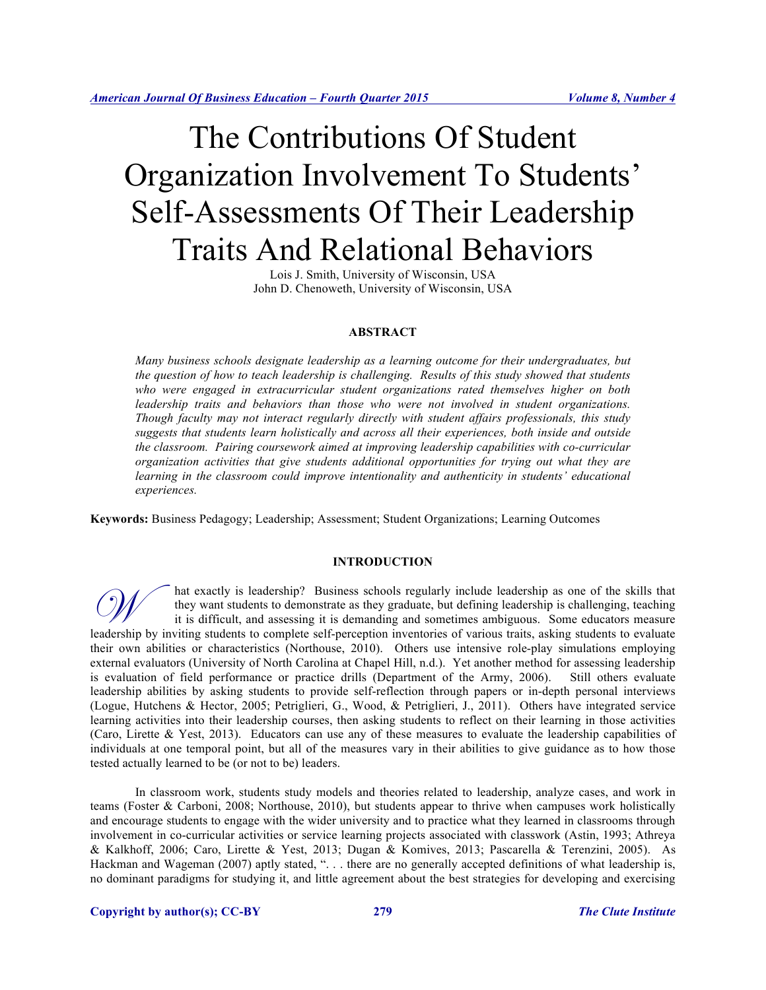# The Contributions Of Student Organization Involvement To Students' Self-Assessments Of Their Leadership Traits And Relational Behaviors

Lois J. Smith, University of Wisconsin, USA John D. Chenoweth, University of Wisconsin, USA

# **ABSTRACT**

*Many business schools designate leadership as a learning outcome for their undergraduates, but the question of how to teach leadership is challenging. Results of this study showed that students who were engaged in extracurricular student organizations rated themselves higher on both leadership traits and behaviors than those who were not involved in student organizations. Though faculty may not interact regularly directly with student affairs professionals, this study suggests that students learn holistically and across all their experiences, both inside and outside the classroom. Pairing coursework aimed at improving leadership capabilities with co-curricular organization activities that give students additional opportunities for trying out what they are*  learning in the classroom could improve intentionality and authenticity in students' educational *experiences.*

**Keywords:** Business Pedagogy; Leadership; Assessment; Student Organizations; Learning Outcomes

# **INTRODUCTION**

hat exactly is leadership? Business schools regularly include leadership as one of the skills that they want students to demonstrate as they graduate, but defining leadership is challenging, teaching it is difficult, and assessing it is demanding and sometimes ambiguous. Some educators measure hat exactly is leadership? Business schools regularly include leadership as one of the skills that<br>they want students to demonstrate as they graduate, but defining leadership is challenging, teaching<br>it is difficult, and a their own abilities or characteristics (Northouse, 2010). Others use intensive role-play simulations employing external evaluators (University of North Carolina at Chapel Hill, n.d.). Yet another method for assessing leadership is evaluation of field performance or practice drills (Department of the Army, 2006). Still others evaluate leadership abilities by asking students to provide self-reflection through papers or in-depth personal interviews (Logue, Hutchens & Hector, 2005; Petriglieri, G., Wood, & Petriglieri, J., 2011). Others have integrated service learning activities into their leadership courses, then asking students to reflect on their learning in those activities (Caro, Lirette & Yest, 2013). Educators can use any of these measures to evaluate the leadership capabilities of individuals at one temporal point, but all of the measures vary in their abilities to give guidance as to how those tested actually learned to be (or not to be) leaders.

In classroom work, students study models and theories related to leadership, analyze cases, and work in teams (Foster & Carboni, 2008; Northouse, 2010), but students appear to thrive when campuses work holistically and encourage students to engage with the wider university and to practice what they learned in classrooms through involvement in co-curricular activities or service learning projects associated with classwork (Astin, 1993; Athreya & Kalkhoff, 2006; Caro, Lirette & Yest, 2013; Dugan & Komives, 2013; Pascarella & Terenzini, 2005). As Hackman and Wageman (2007) aptly stated, ". . . there are no generally accepted definitions of what leadership is, no dominant paradigms for studying it, and little agreement about the best strategies for developing and exercising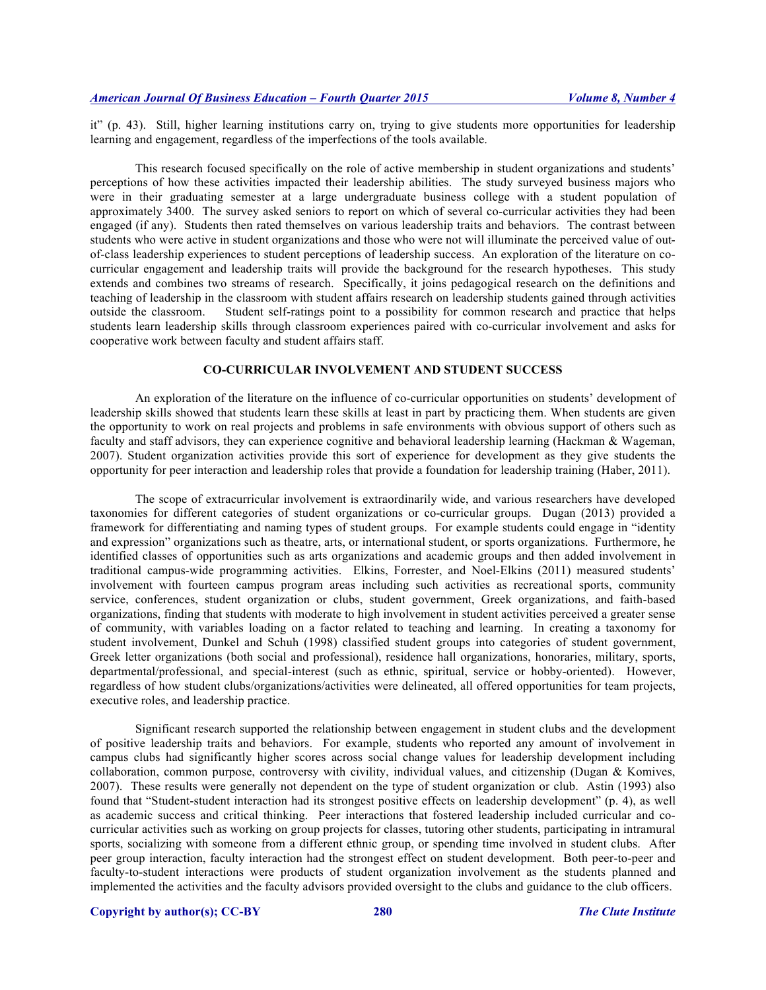it" (p. 43). Still, higher learning institutions carry on, trying to give students more opportunities for leadership learning and engagement, regardless of the imperfections of the tools available.

This research focused specifically on the role of active membership in student organizations and students' perceptions of how these activities impacted their leadership abilities. The study surveyed business majors who were in their graduating semester at a large undergraduate business college with a student population of approximately 3400. The survey asked seniors to report on which of several co-curricular activities they had been engaged (if any). Students then rated themselves on various leadership traits and behaviors. The contrast between students who were active in student organizations and those who were not will illuminate the perceived value of outof-class leadership experiences to student perceptions of leadership success. An exploration of the literature on cocurricular engagement and leadership traits will provide the background for the research hypotheses. This study extends and combines two streams of research. Specifically, it joins pedagogical research on the definitions and teaching of leadership in the classroom with student affairs research on leadership students gained through activities outside the classroom. Student self-ratings point to a possibility for common research and practice that helps students learn leadership skills through classroom experiences paired with co-curricular involvement and asks for cooperative work between faculty and student affairs staff.

# **CO-CURRICULAR INVOLVEMENT AND STUDENT SUCCESS**

An exploration of the literature on the influence of co-curricular opportunities on students' development of leadership skills showed that students learn these skills at least in part by practicing them. When students are given the opportunity to work on real projects and problems in safe environments with obvious support of others such as faculty and staff advisors, they can experience cognitive and behavioral leadership learning (Hackman & Wageman, 2007). Student organization activities provide this sort of experience for development as they give students the opportunity for peer interaction and leadership roles that provide a foundation for leadership training (Haber, 2011).

The scope of extracurricular involvement is extraordinarily wide, and various researchers have developed taxonomies for different categories of student organizations or co-curricular groups. Dugan (2013) provided a framework for differentiating and naming types of student groups. For example students could engage in "identity and expression" organizations such as theatre, arts, or international student, or sports organizations. Furthermore, he identified classes of opportunities such as arts organizations and academic groups and then added involvement in traditional campus-wide programming activities. Elkins, Forrester, and Noel-Elkins (2011) measured students' involvement with fourteen campus program areas including such activities as recreational sports, community service, conferences, student organization or clubs, student government, Greek organizations, and faith-based organizations, finding that students with moderate to high involvement in student activities perceived a greater sense of community, with variables loading on a factor related to teaching and learning. In creating a taxonomy for student involvement, Dunkel and Schuh (1998) classified student groups into categories of student government, Greek letter organizations (both social and professional), residence hall organizations, honoraries, military, sports, departmental/professional, and special-interest (such as ethnic, spiritual, service or hobby-oriented). However, regardless of how student clubs/organizations/activities were delineated, all offered opportunities for team projects, executive roles, and leadership practice.

Significant research supported the relationship between engagement in student clubs and the development of positive leadership traits and behaviors. For example, students who reported any amount of involvement in campus clubs had significantly higher scores across social change values for leadership development including collaboration, common purpose, controversy with civility, individual values, and citizenship (Dugan & Komives, 2007). These results were generally not dependent on the type of student organization or club. Astin (1993) also found that "Student-student interaction had its strongest positive effects on leadership development" (p. 4), as well as academic success and critical thinking. Peer interactions that fostered leadership included curricular and cocurricular activities such as working on group projects for classes, tutoring other students, participating in intramural sports, socializing with someone from a different ethnic group, or spending time involved in student clubs. After peer group interaction, faculty interaction had the strongest effect on student development. Both peer-to-peer and faculty-to-student interactions were products of student organization involvement as the students planned and implemented the activities and the faculty advisors provided oversight to the clubs and guidance to the club officers.

# **Copyright by author(s); CC-BY 280** *The Clute Institute*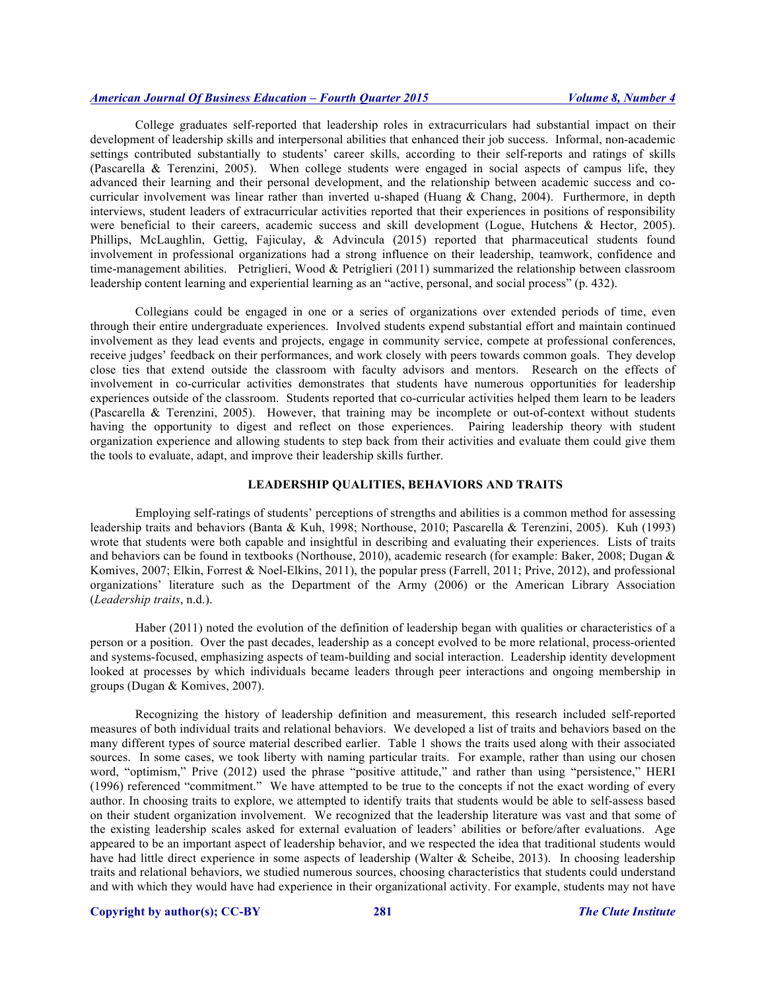College graduates self-reported that leadership roles in extracurriculars had substantial impact on their development of leadership skills and interpersonal abilities that enhanced their job success. Informal, non-academic settings contributed substantially to students' career skills, according to their self-reports and ratings of skills (Pascarella & Terenzini, 2005). When college students were engaged in social aspects of campus life, they advanced their learning and their personal development, and the relationship between academic success and cocurricular involvement was linear rather than inverted u-shaped (Huang & Chang, 2004). Furthermore, in depth interviews, student leaders of extracurricular activities reported that their experiences in positions of responsibility were beneficial to their careers, academic success and skill development (Logue, Hutchens & Hector, 2005). Phillips, McLaughlin, Gettig, Fajiculay, & Advincula (2015) reported that pharmaceutical students found involvement in professional organizations had a strong influence on their leadership, teamwork, confidence and time-management abilities. Petriglieri, Wood & Petriglieri (2011) summarized the relationship between classroom leadership content learning and experiential learning as an "active, personal, and social process" (p. 432).

Collegians could be engaged in one or a series of organizations over extended periods of time, even through their entire undergraduate experiences. Involved students expend substantial effort and maintain continued involvement as they lead events and projects, engage in community service, compete at professional conferences, receive judges' feedback on their performances, and work closely with peers towards common goals. They develop close ties that extend outside the classroom with faculty advisors and mentors. Research on the effects of involvement in co-curricular activities demonstrates that students have numerous opportunities for leadership experiences outside of the classroom. Students reported that co-curricular activities helped them learn to be leaders (Pascarella & Terenzini, 2005). However, that training may be incomplete or out-of-context without students having the opportunity to digest and reflect on those experiences. Pairing leadership theory with student organization experience and allowing students to step back from their activities and evaluate them could give them the tools to evaluate, adapt, and improve their leadership skills further.

## **LEADERSHIP QUALITIES, BEHAVIORS AND TRAITS**

Employing self-ratings of students' perceptions of strengths and abilities is a common method for assessing leadership traits and behaviors (Banta & Kuh, 1998; Northouse, 2010; Pascarella & Terenzini, 2005). Kuh (1993) wrote that students were both capable and insightful in describing and evaluating their experiences. Lists of traits and behaviors can be found in textbooks (Northouse, 2010), academic research (for example: Baker, 2008; Dugan & Komives, 2007; Elkin, Forrest & Noel-Elkins, 2011), the popular press (Farrell, 2011; Prive, 2012), and professional organizations' literature such as the Department of the Army (2006) or the American Library Association (*Leadership traits*, n.d.).

Haber (2011) noted the evolution of the definition of leadership began with qualities or characteristics of a person or a position. Over the past decades, leadership as a concept evolved to be more relational, process-oriented and systems-focused, emphasizing aspects of team-building and social interaction. Leadership identity development looked at processes by which individuals became leaders through peer interactions and ongoing membership in groups (Dugan & Komives, 2007).

Recognizing the history of leadership definition and measurement, this research included self-reported measures of both individual traits and relational behaviors. We developed a list of traits and behaviors based on the many different types of source material described earlier. Table 1 shows the traits used along with their associated sources. In some cases, we took liberty with naming particular traits. For example, rather than using our chosen word, "optimism," Prive (2012) used the phrase "positive attitude," and rather than using "persistence," HERI (1996) referenced "commitment." We have attempted to be true to the concepts if not the exact wording of every author. In choosing traits to explore, we attempted to identify traits that students would be able to self-assess based on their student organization involvement. We recognized that the leadership literature was vast and that some of the existing leadership scales asked for external evaluation of leaders' abilities or before/after evaluations. Age appeared to be an important aspect of leadership behavior, and we respected the idea that traditional students would have had little direct experience in some aspects of leadership (Walter & Scheibe, 2013). In choosing leadership traits and relational behaviors, we studied numerous sources, choosing characteristics that students could understand and with which they would have had experience in their organizational activity. For example, students may not have

# **Copyright by author(s); CC-BY 281** *The Clute Institute*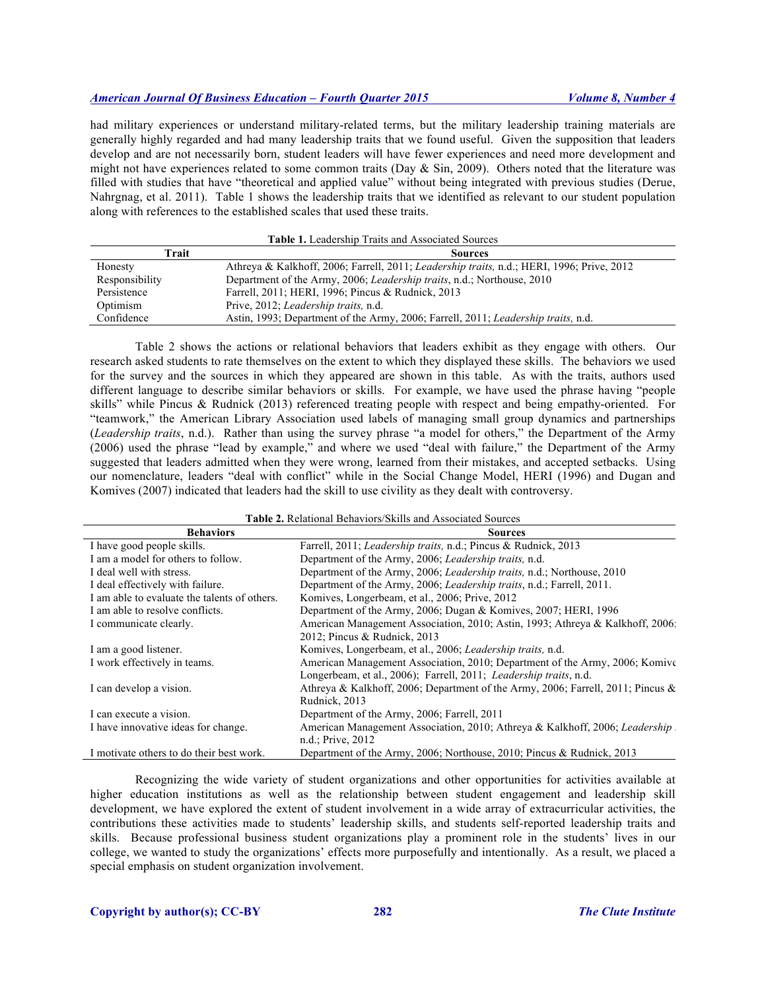had military experiences or understand military-related terms, but the military leadership training materials are generally highly regarded and had many leadership traits that we found useful. Given the supposition that leaders develop and are not necessarily born, student leaders will have fewer experiences and need more development and might not have experiences related to some common traits (Day  $\&$  Sin, 2009). Others noted that the literature was filled with studies that have "theoretical and applied value" without being integrated with previous studies (Derue, Nahrgnag, et al. 2011). Table 1 shows the leadership traits that we identified as relevant to our student population along with references to the established scales that used these traits.

| <b>Table 1.</b> Leadership Traits and Associated Sources |                                                                                           |  |  |
|----------------------------------------------------------|-------------------------------------------------------------------------------------------|--|--|
| Trait                                                    | <b>Sources</b>                                                                            |  |  |
| Honesty                                                  | Athreya & Kalkhoff, 2006; Farrell, 2011; Leadership traits, n.d.; HERI, 1996; Prive, 2012 |  |  |
| Responsibility                                           | Department of the Army, 2006; Leadership traits, n.d.; Northouse, 2010                    |  |  |
| Persistence                                              | Farrell, 2011; HERI, 1996; Pincus & Rudnick, 2013                                         |  |  |
| Optimism                                                 | Prive, 2012; Leadership traits, n.d.                                                      |  |  |
| Confidence                                               | Astin, 1993; Department of the Army, 2006; Farrell, 2011; Leadership traits, n.d.         |  |  |

Table 2 shows the actions or relational behaviors that leaders exhibit as they engage with others. Our research asked students to rate themselves on the extent to which they displayed these skills. The behaviors we used for the survey and the sources in which they appeared are shown in this table. As with the traits, authors used different language to describe similar behaviors or skills. For example, we have used the phrase having "people skills" while Pincus & Rudnick (2013) referenced treating people with respect and being empathy-oriented. For "teamwork," the American Library Association used labels of managing small group dynamics and partnerships (*Leadership traits*, n.d.). Rather than using the survey phrase "a model for others," the Department of the Army (2006) used the phrase "lead by example," and where we used "deal with failure," the Department of the Army suggested that leaders admitted when they were wrong, learned from their mistakes, and accepted setbacks. Using our nomenclature, leaders "deal with conflict" while in the Social Change Model, HERI (1996) and Dugan and Komives (2007) indicated that leaders had the skill to use civility as they dealt with controversy.

**Table 2.** Relational Behaviors/Skills and Associated Sources

| <b>Behaviors</b>                             | <b>Sources</b>                                                                  |
|----------------------------------------------|---------------------------------------------------------------------------------|
| I have good people skills.                   | Farrell, 2011; Leadership traits, n.d.; Pincus & Rudnick, 2013                  |
| I am a model for others to follow.           | Department of the Army, 2006; Leadership traits, n.d.                           |
| I deal well with stress.                     | Department of the Army, 2006; Leadership traits, n.d.; Northouse, 2010          |
| I deal effectively with failure.             | Department of the Army, 2006; Leadership traits, n.d.; Farrell, 2011.           |
| I am able to evaluate the talents of others. | Komives, Longerbeam, et al., 2006; Prive, 2012                                  |
| I am able to resolve conflicts.              | Department of the Army, 2006; Dugan & Komives, 2007; HERI, 1996                 |
| I communicate clearly.                       | American Management Association, 2010; Astin, 1993; Athreya & Kalkhoff, 2006;   |
|                                              | 2012; Pincus & Rudnick, 2013                                                    |
| I am a good listener.                        | Komives, Longerbeam, et al., 2006; Leadership traits, n.d.                      |
| I work effectively in teams.                 | American Management Association, 2010; Department of the Army, 2006; Komive     |
|                                              | Longerbeam, et al., 2006); Farrell, 2011; Leadership traits, n.d.               |
| I can develop a vision.                      | Athreya & Kalkhoff, 2006; Department of the Army, 2006; Farrell, 2011; Pincus & |
|                                              | Rudnick, 2013                                                                   |
| I can execute a vision.                      | Department of the Army, 2006; Farrell, 2011                                     |
| I have innovative ideas for change.          | American Management Association, 2010; Athreya & Kalkhoff, 2006; Leadership     |
|                                              | n.d.; Prive, 2012                                                               |
| I motivate others to do their best work.     | Department of the Army, 2006; Northouse, 2010; Pincus & Rudnick, 2013           |

Recognizing the wide variety of student organizations and other opportunities for activities available at higher education institutions as well as the relationship between student engagement and leadership skill development, we have explored the extent of student involvement in a wide array of extracurricular activities, the contributions these activities made to students' leadership skills, and students self-reported leadership traits and skills. Because professional business student organizations play a prominent role in the students' lives in our college, we wanted to study the organizations' effects more purposefully and intentionally. As a result, we placed a special emphasis on student organization involvement.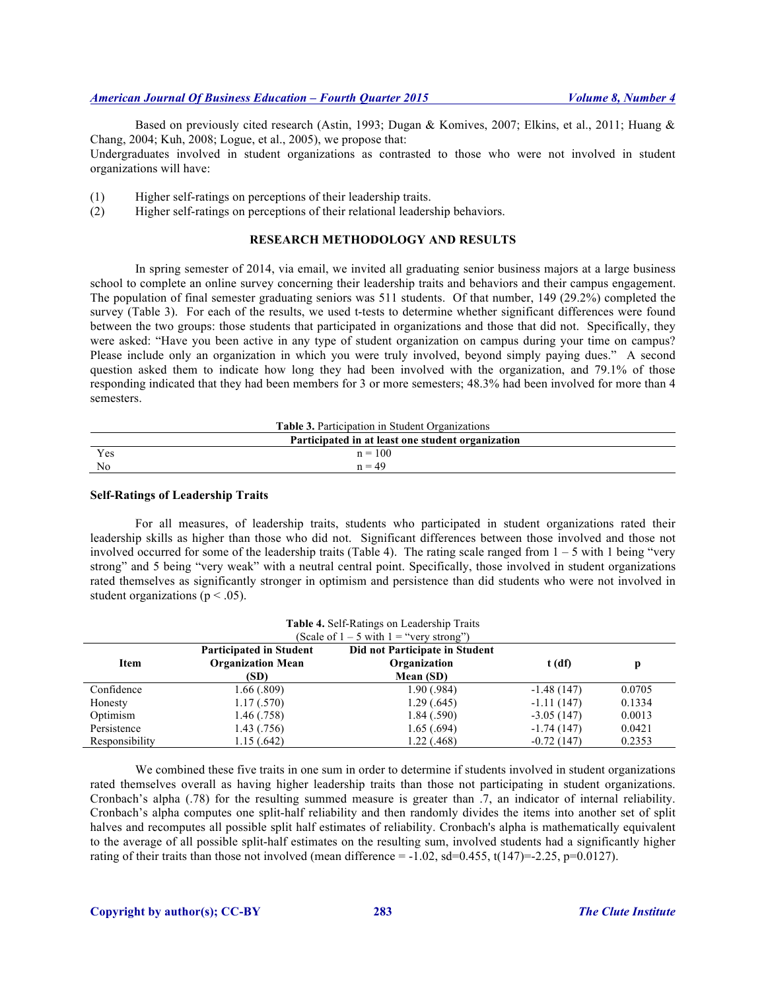Based on previously cited research (Astin, 1993; Dugan & Komives, 2007; Elkins, et al., 2011; Huang & Chang, 2004; Kuh, 2008; Logue, et al., 2005), we propose that:

Undergraduates involved in student organizations as contrasted to those who were not involved in student organizations will have:

(1) Higher self-ratings on perceptions of their leadership traits.

(2) Higher self-ratings on perceptions of their relational leadership behaviors.

# **RESEARCH METHODOLOGY AND RESULTS**

In spring semester of 2014, via email, we invited all graduating senior business majors at a large business school to complete an online survey concerning their leadership traits and behaviors and their campus engagement. The population of final semester graduating seniors was 511 students. Of that number, 149 (29.2%) completed the survey (Table 3). For each of the results, we used t-tests to determine whether significant differences were found between the two groups: those students that participated in organizations and those that did not. Specifically, they were asked: "Have you been active in any type of student organization on campus during your time on campus? Please include only an organization in which you were truly involved, beyond simply paying dues." A second question asked them to indicate how long they had been involved with the organization, and 79.1% of those responding indicated that they had been members for 3 or more semesters; 48.3% had been involved for more than 4 semesters.

| <b>Table 3.</b> Participation in Student Organizations |           |  |  |
|--------------------------------------------------------|-----------|--|--|
| Participated in at least one student organization      |           |  |  |
| Yes                                                    | $n = 100$ |  |  |
| N <sub>0</sub>                                         | $n = 49$  |  |  |

### **Self-Ratings of Leadership Traits**

For all measures, of leadership traits, students who participated in student organizations rated their leadership skills as higher than those who did not. Significant differences between those involved and those not involved occurred for some of the leadership traits (Table 4). The rating scale ranged from  $1 - 5$  with 1 being "very strong" and 5 being "very weak" with a neutral central point. Specifically, those involved in student organizations rated themselves as significantly stronger in optimism and persistence than did students who were not involved in student organizations ( $p < .05$ ).

| Table 4. Self-Ratings on Leadership Traits<br>(Scale of $1 - 5$ with $1 =$ "very strong") |                                                            |                                                |              |        |  |
|-------------------------------------------------------------------------------------------|------------------------------------------------------------|------------------------------------------------|--------------|--------|--|
| Item                                                                                      | <b>Participated in Student</b><br><b>Organization Mean</b> | Did not Participate in Student<br>Organization | $t$ (df)     | p      |  |
|                                                                                           | (SD)                                                       | Mean (SD)                                      |              |        |  |
| Confidence                                                                                | 1.66(.809)                                                 | 1.90(.984)                                     | $-1.48(147)$ | 0.0705 |  |
| Honesty                                                                                   | 1.17(.570)                                                 | 1.29(.645)                                     | $-1.11(147)$ | 0.1334 |  |
| Optimism                                                                                  | 1.46(.758)                                                 | 1.84(.590)                                     | $-3.05(147)$ | 0.0013 |  |
| Persistence                                                                               | 1.43(0.756)                                                | 1.65(.694)                                     | $-1.74(147)$ | 0.0421 |  |
| Responsibility                                                                            | 1.15(.642)                                                 | 1.22(0.468)                                    | $-0.72(147)$ | 0.2353 |  |

We combined these five traits in one sum in order to determine if students involved in student organizations rated themselves overall as having higher leadership traits than those not participating in student organizations. Cronbach's alpha (.78) for the resulting summed measure is greater than .7, an indicator of internal reliability. Cronbach's alpha computes one split-half reliability and then randomly divides the items into another set of split halves and recomputes all possible split half estimates of reliability. Cronbach's alpha is mathematically equivalent to the average of all possible split-half estimates on the resulting sum, involved students had a significantly higher rating of their traits than those not involved (mean difference =  $-1.02$ , sd=0.455, t(147)=-2.25, p=0.0127).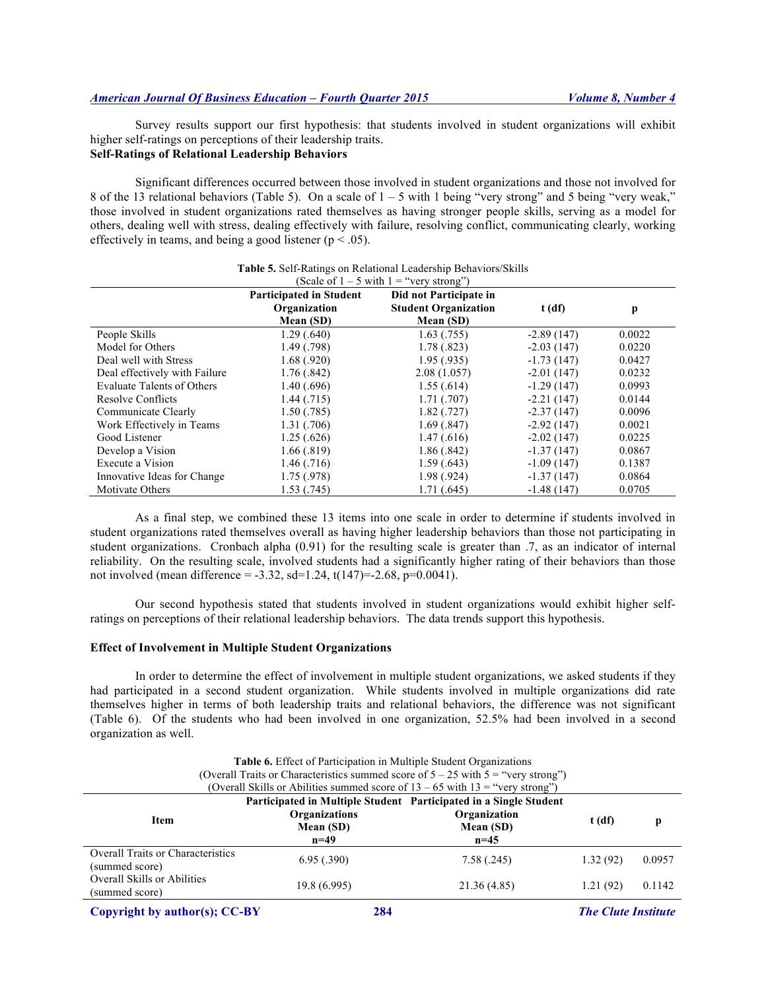Survey results support our first hypothesis: that students involved in student organizations will exhibit higher self-ratings on perceptions of their leadership traits. **Self-Ratings of Relational Leadership Behaviors**

Significant differences occurred between those involved in student organizations and those not involved for 8 of the 13 relational behaviors (Table 5). On a scale of  $1 - 5$  with 1 being "very strong" and 5 being "very weak," those involved in student organizations rated themselves as having stronger people skills, serving as a model for others, dealing well with stress, dealing effectively with failure, resolving conflict, communicating clearly, working effectively in teams, and being a good listener ( $p < .05$ ).

|                               | <b>Participated in Student</b> | $\cdots$<br>Did not Participate in |              |        |
|-------------------------------|--------------------------------|------------------------------------|--------------|--------|
|                               | Organization                   | <b>Student Organization</b>        | $t$ (df)     | p      |
|                               | Mean (SD)                      | Mean (SD)                          |              |        |
| People Skills                 | 1.29(.640)                     | 1.63(0.755)                        | $-2.89(147)$ | 0.0022 |
| Model for Others              | 1.49(0.798)                    | 1.78(.823)                         | $-2.03(147)$ | 0.0220 |
| Deal well with Stress         | 1.68(.920)                     | 1.95(.935)                         | $-1.73(147)$ | 0.0427 |
| Deal effectively with Failure | 1.76(.842)                     | 2.08(1.057)                        | $-2.01(147)$ | 0.0232 |
| Evaluate Talents of Others    | 1.40(.696)                     | 1.55(.614)                         | $-1.29(147)$ | 0.0993 |
| <b>Resolve Conflicts</b>      | 1.44(0.715)                    | 1.71(0.707)                        | $-2.21(147)$ | 0.0144 |
| Communicate Clearly           | 1.50(.785)                     | 1.82(.727)                         | $-2.37(147)$ | 0.0096 |
| Work Effectively in Teams     | 1.31(.706)                     | 1.69(.847)                         | $-2.92(147)$ | 0.0021 |
| Good Listener                 | 1.25(.626)                     | 1.47(0.616)                        | $-2.02(147)$ | 0.0225 |
| Develop a Vision              | 1.66(.819)                     | 1.86(.842)                         | $-1.37(147)$ | 0.0867 |
| Execute a Vision              | 1.46(0.716)                    | 1.59(.643)                         | $-1.09(147)$ | 0.1387 |
| Innovative Ideas for Change   | 1.75(.978)                     | 1.98(.924)                         | $-1.37(147)$ | 0.0864 |
| Motivate Others               | 1.53(.745)                     | 1.71 (.645)                        | $-1.48(147)$ | 0.0705 |

#### **Table 5.** Self-Ratings on Relational Leadership Behaviors/Skills (Scale of  $1 - 5$  with  $1 =$  "very strong")

As a final step, we combined these 13 items into one scale in order to determine if students involved in student organizations rated themselves overall as having higher leadership behaviors than those not participating in student organizations. Cronbach alpha (0.91) for the resulting scale is greater than .7, as an indicator of internal reliability. On the resulting scale, involved students had a significantly higher rating of their behaviors than those not involved (mean difference =  $-3.32$ , sd=1.24, t(147)= $-2.68$ , p=0.0041).

Our second hypothesis stated that students involved in student organizations would exhibit higher selfratings on perceptions of their relational leadership behaviors. The data trends support this hypothesis.

# **Effect of Involvement in Multiple Student Organizations**

In order to determine the effect of involvement in multiple student organizations, we asked students if they had participated in a second student organization. While students involved in multiple organizations did rate themselves higher in terms of both leadership traits and relational behaviors, the difference was not significant (Table 6). Of the students who had been involved in one organization, 52.5% had been involved in a second organization as well.

| Table 6. Effect of Participation in Multiple Student Organizations                    |                                                                                   |                                     |           |        |
|---------------------------------------------------------------------------------------|-----------------------------------------------------------------------------------|-------------------------------------|-----------|--------|
| (Overall Traits or Characteristics summed score of $5 - 25$ with $5 =$ "very strong") |                                                                                   |                                     |           |        |
|                                                                                       | (Overall Skills or Abilities summed score of $13 - 65$ with $13 =$ "very strong") |                                     |           |        |
| Participated in Multiple Student Participated in a Single Student                     |                                                                                   |                                     |           |        |
| <b>Item</b>                                                                           | <b>Organizations</b><br>Mean (SD)<br>$n=49$                                       | Organization<br>Mean (SD)<br>$n=45$ | t(df)     | p      |
| <b>Overall Traits or Characteristics</b><br>(summed score)                            | 6.95(.390)                                                                        | 7.58(.245)                          | 1.32(92)  | 0.0957 |
| <b>Overall Skills or Abilities</b><br>(summed score)                                  | 19.8(6.995)                                                                       | 21.36 (4.85)                        | 1.21 (92) | 0.1142 |
|                                                                                       |                                                                                   |                                     |           |        |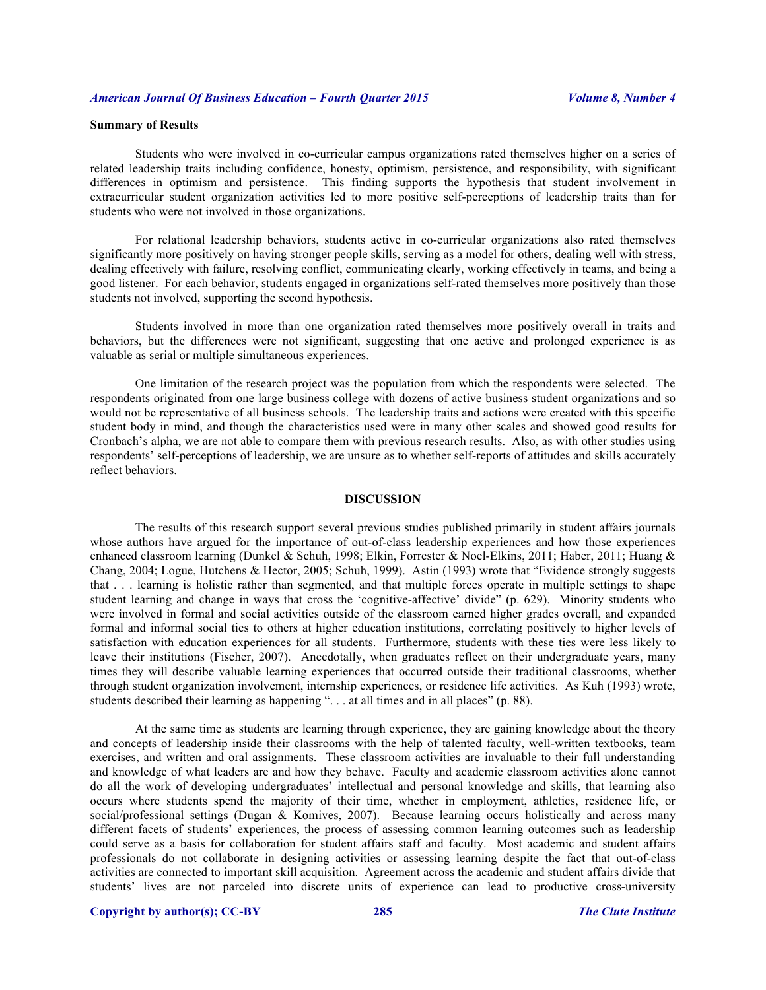## **Summary of Results**

Students who were involved in co-curricular campus organizations rated themselves higher on a series of related leadership traits including confidence, honesty, optimism, persistence, and responsibility, with significant differences in optimism and persistence. This finding supports the hypothesis that student involvement in extracurricular student organization activities led to more positive self-perceptions of leadership traits than for students who were not involved in those organizations.

For relational leadership behaviors, students active in co-curricular organizations also rated themselves significantly more positively on having stronger people skills, serving as a model for others, dealing well with stress, dealing effectively with failure, resolving conflict, communicating clearly, working effectively in teams, and being a good listener. For each behavior, students engaged in organizations self-rated themselves more positively than those students not involved, supporting the second hypothesis.

Students involved in more than one organization rated themselves more positively overall in traits and behaviors, but the differences were not significant, suggesting that one active and prolonged experience is as valuable as serial or multiple simultaneous experiences.

One limitation of the research project was the population from which the respondents were selected. The respondents originated from one large business college with dozens of active business student organizations and so would not be representative of all business schools. The leadership traits and actions were created with this specific student body in mind, and though the characteristics used were in many other scales and showed good results for Cronbach's alpha, we are not able to compare them with previous research results. Also, as with other studies using respondents' self-perceptions of leadership, we are unsure as to whether self-reports of attitudes and skills accurately reflect behaviors.

## **DISCUSSION**

The results of this research support several previous studies published primarily in student affairs journals whose authors have argued for the importance of out-of-class leadership experiences and how those experiences enhanced classroom learning (Dunkel & Schuh, 1998; Elkin, Forrester & Noel-Elkins, 2011; Haber, 2011; Huang & Chang, 2004; Logue, Hutchens & Hector, 2005; Schuh, 1999). Astin (1993) wrote that "Evidence strongly suggests that . . . learning is holistic rather than segmented, and that multiple forces operate in multiple settings to shape student learning and change in ways that cross the 'cognitive-affective' divide" (p. 629). Minority students who were involved in formal and social activities outside of the classroom earned higher grades overall, and expanded formal and informal social ties to others at higher education institutions, correlating positively to higher levels of satisfaction with education experiences for all students. Furthermore, students with these ties were less likely to leave their institutions (Fischer, 2007). Anecdotally, when graduates reflect on their undergraduate years, many times they will describe valuable learning experiences that occurred outside their traditional classrooms, whether through student organization involvement, internship experiences, or residence life activities. As Kuh (1993) wrote, students described their learning as happening ". . . at all times and in all places" (p. 88).

At the same time as students are learning through experience, they are gaining knowledge about the theory and concepts of leadership inside their classrooms with the help of talented faculty, well-written textbooks, team exercises, and written and oral assignments. These classroom activities are invaluable to their full understanding and knowledge of what leaders are and how they behave. Faculty and academic classroom activities alone cannot do all the work of developing undergraduates' intellectual and personal knowledge and skills, that learning also occurs where students spend the majority of their time, whether in employment, athletics, residence life, or social/professional settings (Dugan & Komives, 2007). Because learning occurs holistically and across many different facets of students' experiences, the process of assessing common learning outcomes such as leadership could serve as a basis for collaboration for student affairs staff and faculty. Most academic and student affairs professionals do not collaborate in designing activities or assessing learning despite the fact that out-of-class activities are connected to important skill acquisition. Agreement across the academic and student affairs divide that students' lives are not parceled into discrete units of experience can lead to productive cross-university

# **Copyright by author(s); CC-BY 285** *The Clute Institute*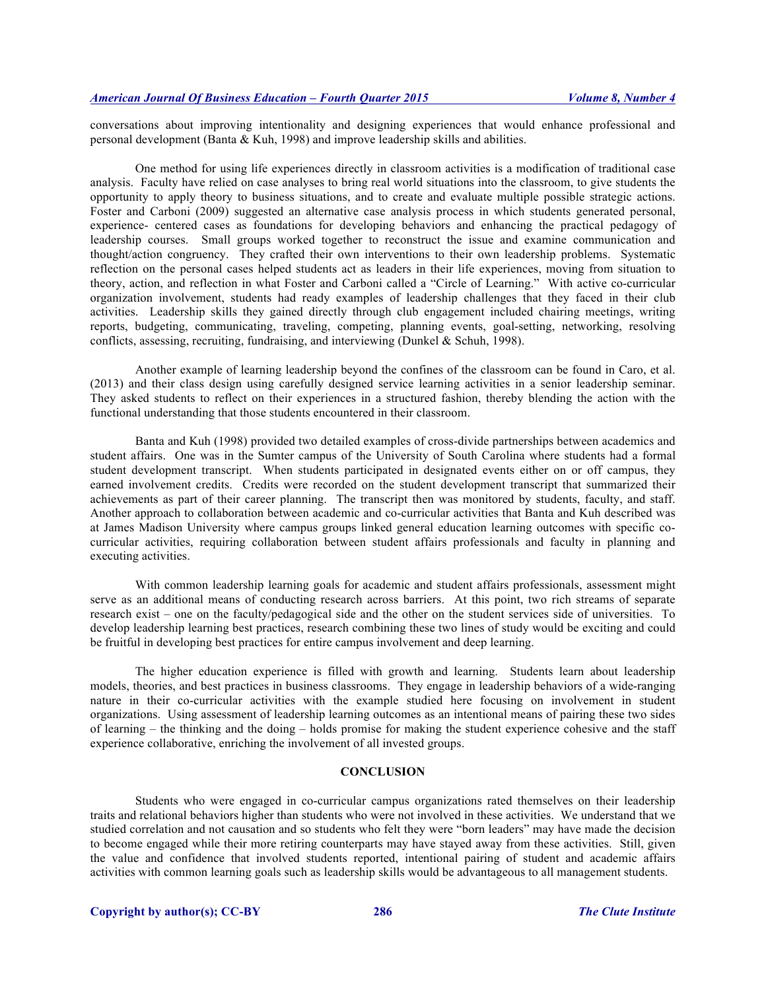conversations about improving intentionality and designing experiences that would enhance professional and personal development (Banta & Kuh, 1998) and improve leadership skills and abilities.

One method for using life experiences directly in classroom activities is a modification of traditional case analysis. Faculty have relied on case analyses to bring real world situations into the classroom, to give students the opportunity to apply theory to business situations, and to create and evaluate multiple possible strategic actions. Foster and Carboni (2009) suggested an alternative case analysis process in which students generated personal, experience- centered cases as foundations for developing behaviors and enhancing the practical pedagogy of leadership courses. Small groups worked together to reconstruct the issue and examine communication and thought/action congruency. They crafted their own interventions to their own leadership problems. Systematic reflection on the personal cases helped students act as leaders in their life experiences, moving from situation to theory, action, and reflection in what Foster and Carboni called a "Circle of Learning." With active co-curricular organization involvement, students had ready examples of leadership challenges that they faced in their club activities. Leadership skills they gained directly through club engagement included chairing meetings, writing reports, budgeting, communicating, traveling, competing, planning events, goal-setting, networking, resolving conflicts, assessing, recruiting, fundraising, and interviewing (Dunkel & Schuh, 1998).

Another example of learning leadership beyond the confines of the classroom can be found in Caro, et al. (2013) and their class design using carefully designed service learning activities in a senior leadership seminar. They asked students to reflect on their experiences in a structured fashion, thereby blending the action with the functional understanding that those students encountered in their classroom.

Banta and Kuh (1998) provided two detailed examples of cross-divide partnerships between academics and student affairs. One was in the Sumter campus of the University of South Carolina where students had a formal student development transcript. When students participated in designated events either on or off campus, they earned involvement credits. Credits were recorded on the student development transcript that summarized their achievements as part of their career planning. The transcript then was monitored by students, faculty, and staff. Another approach to collaboration between academic and co-curricular activities that Banta and Kuh described was at James Madison University where campus groups linked general education learning outcomes with specific cocurricular activities, requiring collaboration between student affairs professionals and faculty in planning and executing activities.

With common leadership learning goals for academic and student affairs professionals, assessment might serve as an additional means of conducting research across barriers. At this point, two rich streams of separate research exist – one on the faculty/pedagogical side and the other on the student services side of universities. To develop leadership learning best practices, research combining these two lines of study would be exciting and could be fruitful in developing best practices for entire campus involvement and deep learning.

The higher education experience is filled with growth and learning. Students learn about leadership models, theories, and best practices in business classrooms. They engage in leadership behaviors of a wide-ranging nature in their co-curricular activities with the example studied here focusing on involvement in student organizations. Using assessment of leadership learning outcomes as an intentional means of pairing these two sides of learning – the thinking and the doing – holds promise for making the student experience cohesive and the staff experience collaborative, enriching the involvement of all invested groups.

# **CONCLUSION**

Students who were engaged in co-curricular campus organizations rated themselves on their leadership traits and relational behaviors higher than students who were not involved in these activities. We understand that we studied correlation and not causation and so students who felt they were "born leaders" may have made the decision to become engaged while their more retiring counterparts may have stayed away from these activities. Still, given the value and confidence that involved students reported, intentional pairing of student and academic affairs activities with common learning goals such as leadership skills would be advantageous to all management students.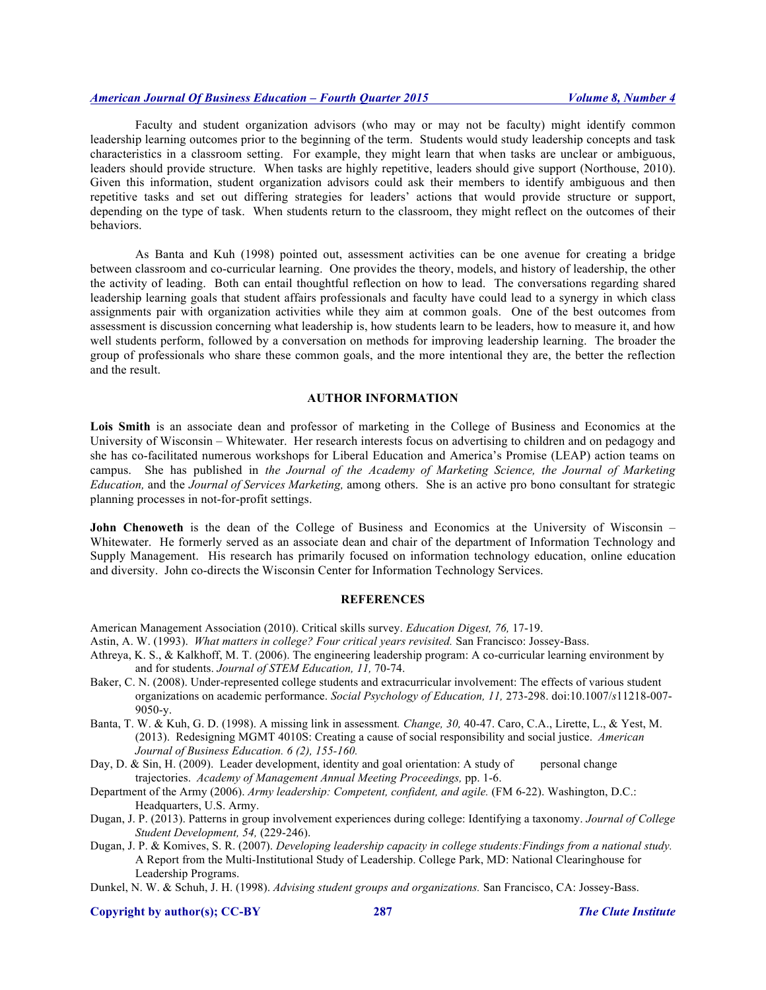Faculty and student organization advisors (who may or may not be faculty) might identify common leadership learning outcomes prior to the beginning of the term. Students would study leadership concepts and task characteristics in a classroom setting. For example, they might learn that when tasks are unclear or ambiguous, leaders should provide structure. When tasks are highly repetitive, leaders should give support (Northouse, 2010). Given this information, student organization advisors could ask their members to identify ambiguous and then repetitive tasks and set out differing strategies for leaders' actions that would provide structure or support, depending on the type of task. When students return to the classroom, they might reflect on the outcomes of their behaviors.

As Banta and Kuh (1998) pointed out, assessment activities can be one avenue for creating a bridge between classroom and co-curricular learning. One provides the theory, models, and history of leadership, the other the activity of leading. Both can entail thoughtful reflection on how to lead. The conversations regarding shared leadership learning goals that student affairs professionals and faculty have could lead to a synergy in which class assignments pair with organization activities while they aim at common goals. One of the best outcomes from assessment is discussion concerning what leadership is, how students learn to be leaders, how to measure it, and how well students perform, followed by a conversation on methods for improving leadership learning. The broader the group of professionals who share these common goals, and the more intentional they are, the better the reflection and the result.

# **AUTHOR INFORMATION**

**Lois Smith** is an associate dean and professor of marketing in the College of Business and Economics at the University of Wisconsin – Whitewater. Her research interests focus on advertising to children and on pedagogy and she has co-facilitated numerous workshops for Liberal Education and America's Promise (LEAP) action teams on campus. She has published in *the Journal of the Academy of Marketing Science, the Journal of Marketing Education,* and the *Journal of Services Marketing,* among others. She is an active pro bono consultant for strategic planning processes in not-for-profit settings.

**John Chenoweth** is the dean of the College of Business and Economics at the University of Wisconsin – Whitewater. He formerly served as an associate dean and chair of the department of Information Technology and Supply Management. His research has primarily focused on information technology education, online education and diversity. John co-directs the Wisconsin Center for Information Technology Services.

# **REFERENCES**

American Management Association (2010). Critical skills survey. *Education Digest, 76,* 17-19.

Astin, A. W. (1993). *What matters in college? Four critical years revisited.* San Francisco: Jossey-Bass.

- Athreya, K. S., & Kalkhoff, M. T. (2006). The engineering leadership program: A co-curricular learning environment by and for students. *Journal of STEM Education, 11,* 70-74.
- Baker, C. N. (2008). Under-represented college students and extracurricular involvement: The effects of various student organizations on academic performance. *Social Psychology of Education, 11,* 273-298. doi:10.1007/*s*11218-007- 9050-y.
- Banta, T. W. & Kuh, G. D. (1998). A missing link in assessment*. Change, 30,* 40-47. Caro, C.A., Lirette, L., & Yest, M. (2013). Redesigning MGMT 4010S: Creating a cause of social responsibility and social justice. *American Journal of Business Education. 6 (2), 155-160.*
- Day, D. & Sin, H. (2009). Leader development, identity and goal orientation: A study of personal change trajectories. *Academy of Management Annual Meeting Proceedings,* pp. 1-6.
- Department of the Army (2006). *Army leadership: Competent, confident, and agile.* (FM 6-22). Washington, D.C.: Headquarters, U.S. Army.
- Dugan, J. P. (2013). Patterns in group involvement experiences during college: Identifying a taxonomy. *Journal of College Student Development, 54,* (229-246).
- Dugan, J. P. & Komives, S. R. (2007). *Developing leadership capacity in college students:Findings from a national study.*  A Report from the Multi-Institutional Study of Leadership. College Park, MD: National Clearinghouse for Leadership Programs.

Dunkel, N. W. & Schuh, J. H. (1998). *Advising student groups and organizations.* San Francisco, CA: Jossey-Bass.

# **Copyright by author(s); CC-BY 287** *The Clute Institute*